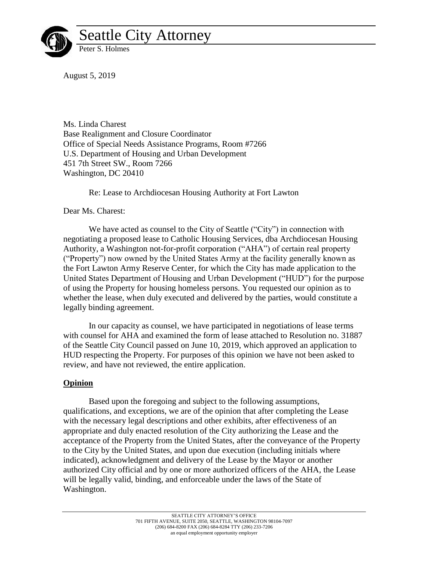

August 5, 2019

Ms. Linda Charest Base Realignment and Closure Coordinator Office of Special Needs Assistance Programs, Room #7266 U.S. Department of Housing and Urban Development 451 7th Street SW., Room 7266 Washington, DC 20410

Re: Lease to Archdiocesan Housing Authority at Fort Lawton

Dear Ms. Charest:

We have acted as counsel to the City of Seattle ("City") in connection with negotiating a proposed lease to Catholic Housing Services, dba Archdiocesan Housing Authority, a Washington not-for-profit corporation ("AHA") of certain real property ("Property") now owned by the United States Army at the facility generally known as the Fort Lawton Army Reserve Center, for which the City has made application to the United States Department of Housing and Urban Development ("HUD") for the purpose of using the Property for housing homeless persons. You requested our opinion as to whether the lease, when duly executed and delivered by the parties, would constitute a legally binding agreement.

In our capacity as counsel, we have participated in negotiations of lease terms with counsel for AHA and examined the form of lease attached to Resolution no. 31887 of the Seattle City Council passed on June 10, 2019, which approved an application to HUD respecting the Property. For purposes of this opinion we have not been asked to review, and have not reviewed, the entire application.

## **Opinion**

Based upon the foregoing and subject to the following assumptions, qualifications, and exceptions, we are of the opinion that after completing the Lease with the necessary legal descriptions and other exhibits, after effectiveness of an appropriate and duly enacted resolution of the City authorizing the Lease and the acceptance of the Property from the United States, after the conveyance of the Property to the City by the United States, and upon due execution (including initials where indicated), acknowledgment and delivery of the Lease by the Mayor or another authorized City official and by one or more authorized officers of the AHA, the Lease will be legally valid, binding, and enforceable under the laws of the State of Washington.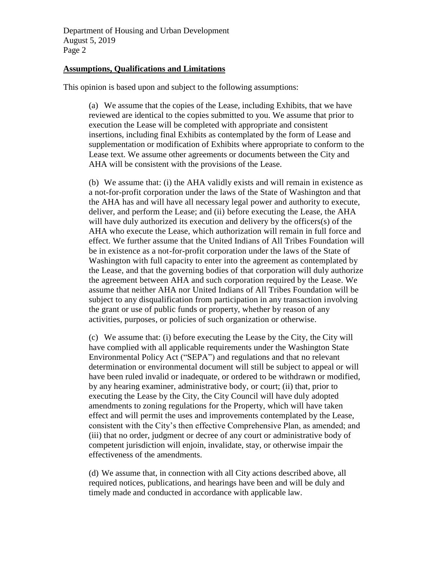Department of Housing and Urban Development August 5, 2019 Page 2

## **Assumptions, Qualifications and Limitations**

This opinion is based upon and subject to the following assumptions:

(a) We assume that the copies of the Lease, including Exhibits, that we have reviewed are identical to the copies submitted to you. We assume that prior to execution the Lease will be completed with appropriate and consistent insertions, including final Exhibits as contemplated by the form of Lease and supplementation or modification of Exhibits where appropriate to conform to the Lease text. We assume other agreements or documents between the City and AHA will be consistent with the provisions of the Lease.

(b) We assume that: (i) the AHA validly exists and will remain in existence as a not-for-profit corporation under the laws of the State of Washington and that the AHA has and will have all necessary legal power and authority to execute, deliver, and perform the Lease; and (ii) before executing the Lease, the AHA will have duly authorized its execution and delivery by the officers(s) of the AHA who execute the Lease, which authorization will remain in full force and effect. We further assume that the United Indians of All Tribes Foundation will be in existence as a not-for-profit corporation under the laws of the State of Washington with full capacity to enter into the agreement as contemplated by the Lease, and that the governing bodies of that corporation will duly authorize the agreement between AHA and such corporation required by the Lease. We assume that neither AHA nor United Indians of All Tribes Foundation will be subject to any disqualification from participation in any transaction involving the grant or use of public funds or property, whether by reason of any activities, purposes, or policies of such organization or otherwise.

(c) We assume that: (i) before executing the Lease by the City, the City will have complied with all applicable requirements under the Washington State Environmental Policy Act ("SEPA") and regulations and that no relevant determination or environmental document will still be subject to appeal or will have been ruled invalid or inadequate, or ordered to be withdrawn or modified, by any hearing examiner, administrative body, or court; (ii) that, prior to executing the Lease by the City, the City Council will have duly adopted amendments to zoning regulations for the Property, which will have taken effect and will permit the uses and improvements contemplated by the Lease, consistent with the City's then effective Comprehensive Plan, as amended; and (iii) that no order, judgment or decree of any court or administrative body of competent jurisdiction will enjoin, invalidate, stay, or otherwise impair the effectiveness of the amendments.

(d) We assume that, in connection with all City actions described above, all required notices, publications, and hearings have been and will be duly and timely made and conducted in accordance with applicable law.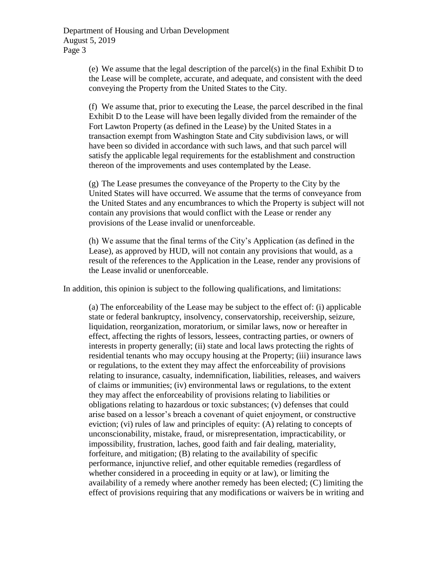(e) We assume that the legal description of the parcel(s) in the final Exhibit D to the Lease will be complete, accurate, and adequate, and consistent with the deed conveying the Property from the United States to the City.

(f) We assume that, prior to executing the Lease, the parcel described in the final Exhibit D to the Lease will have been legally divided from the remainder of the Fort Lawton Property (as defined in the Lease) by the United States in a transaction exempt from Washington State and City subdivision laws, or will have been so divided in accordance with such laws, and that such parcel will satisfy the applicable legal requirements for the establishment and construction thereon of the improvements and uses contemplated by the Lease.

(g) The Lease presumes the conveyance of the Property to the City by the United States will have occurred. We assume that the terms of conveyance from the United States and any encumbrances to which the Property is subject will not contain any provisions that would conflict with the Lease or render any provisions of the Lease invalid or unenforceable.

(h) We assume that the final terms of the City's Application (as defined in the Lease), as approved by HUD, will not contain any provisions that would, as a result of the references to the Application in the Lease, render any provisions of the Lease invalid or unenforceable.

In addition, this opinion is subject to the following qualifications, and limitations:

(a) The enforceability of the Lease may be subject to the effect of: (i) applicable state or federal bankruptcy, insolvency, conservatorship, receivership, seizure, liquidation, reorganization, moratorium, or similar laws, now or hereafter in effect, affecting the rights of lessors, lessees, contracting parties, or owners of interests in property generally; (ii) state and local laws protecting the rights of residential tenants who may occupy housing at the Property; (iii) insurance laws or regulations, to the extent they may affect the enforceability of provisions relating to insurance, casualty, indemnification, liabilities, releases, and waivers of claims or immunities; (iv) environmental laws or regulations, to the extent they may affect the enforceability of provisions relating to liabilities or obligations relating to hazardous or toxic substances; (v) defenses that could arise based on a lessor's breach a covenant of quiet enjoyment, or constructive eviction; (vi) rules of law and principles of equity: (A) relating to concepts of unconscionability, mistake, fraud, or misrepresentation, impracticability, or impossibility, frustration, laches, good faith and fair dealing, materiality, forfeiture, and mitigation; (B) relating to the availability of specific performance, injunctive relief, and other equitable remedies (regardless of whether considered in a proceeding in equity or at law), or limiting the availability of a remedy where another remedy has been elected; (C) limiting the effect of provisions requiring that any modifications or waivers be in writing and